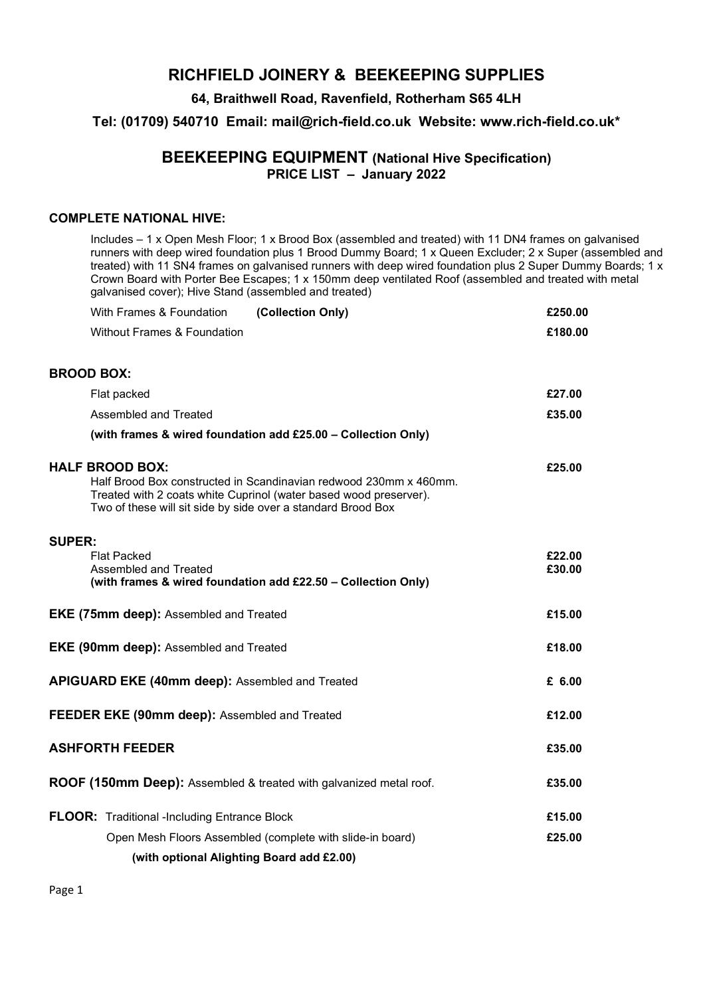# RICHFIELD JOINERY & BEEKEEPING SUPPLIES

### 64, Braithwell Road, Ravenfield, Rotherham S65 4LH

Tel: (01709) 540710 Email: mail@rich-field.co.uk Website: www.rich-field.co.uk\*

## BEEKEEPING EQUIPMENT (National Hive Specification) PRICE LIST – January 2022

#### COMPLETE NATIONAL HIVE:

Includes – 1 x Open Mesh Floor; 1 x Brood Box (assembled and treated) with 11 DN4 frames on galvanised runners with deep wired foundation plus 1 Brood Dummy Board; 1 x Queen Excluder; 2 x Super (assembled and treated) with 11 SN4 frames on galvanised runners with deep wired foundation plus 2 Super Dummy Boards; 1 x Crown Board with Porter Bee Escapes; 1 x 150mm deep ventilated Roof (assembled and treated with metal galvanised cover); Hive Stand (assembled and treated)

|                                                        | (Collection Only)<br>With Frames & Foundation                                                                                                                                                                                    | £250.00          |
|--------------------------------------------------------|----------------------------------------------------------------------------------------------------------------------------------------------------------------------------------------------------------------------------------|------------------|
|                                                        | <b>Without Frames &amp; Foundation</b>                                                                                                                                                                                           | £180.00          |
| <b>BROOD BOX:</b>                                      |                                                                                                                                                                                                                                  |                  |
|                                                        | Flat packed                                                                                                                                                                                                                      | £27.00           |
|                                                        | Assembled and Treated                                                                                                                                                                                                            | £35.00           |
|                                                        | (with frames & wired foundation add £25.00 - Collection Only)                                                                                                                                                                    |                  |
|                                                        | <b>HALF BROOD BOX:</b><br>Half Brood Box constructed in Scandinavian redwood 230mm x 460mm.<br>Treated with 2 coats white Cuprinol (water based wood preserver).<br>Two of these will sit side by side over a standard Brood Box | £25.00           |
| <b>SUPER:</b>                                          | <b>Flat Packed</b><br>Assembled and Treated                                                                                                                                                                                      | £22.00<br>£30.00 |
|                                                        | (with frames & wired foundation add £22.50 - Collection Only)                                                                                                                                                                    |                  |
| <b>EKE (75mm deep): Assembled and Treated</b>          |                                                                                                                                                                                                                                  | £15.00           |
| EKE (90mm deep): Assembled and Treated                 |                                                                                                                                                                                                                                  | £18.00           |
| <b>APIGUARD EKE (40mm deep): Assembled and Treated</b> |                                                                                                                                                                                                                                  | £ 6.00           |
| <b>FEEDER EKE (90mm deep):</b> Assembled and Treated   |                                                                                                                                                                                                                                  | £12.00           |
| <b>ASHFORTH FEEDER</b>                                 |                                                                                                                                                                                                                                  | £35.00           |
|                                                        | ROOF (150mm Deep): Assembled & treated with galvanized metal roof.                                                                                                                                                               | £35.00           |
|                                                        | <b>FLOOR:</b> Traditional -Including Entrance Block                                                                                                                                                                              | £15.00           |
|                                                        | Open Mesh Floors Assembled (complete with slide-in board)                                                                                                                                                                        | £25.00           |
|                                                        | (with optional Alighting Board add £2.00)                                                                                                                                                                                        |                  |

Page 1